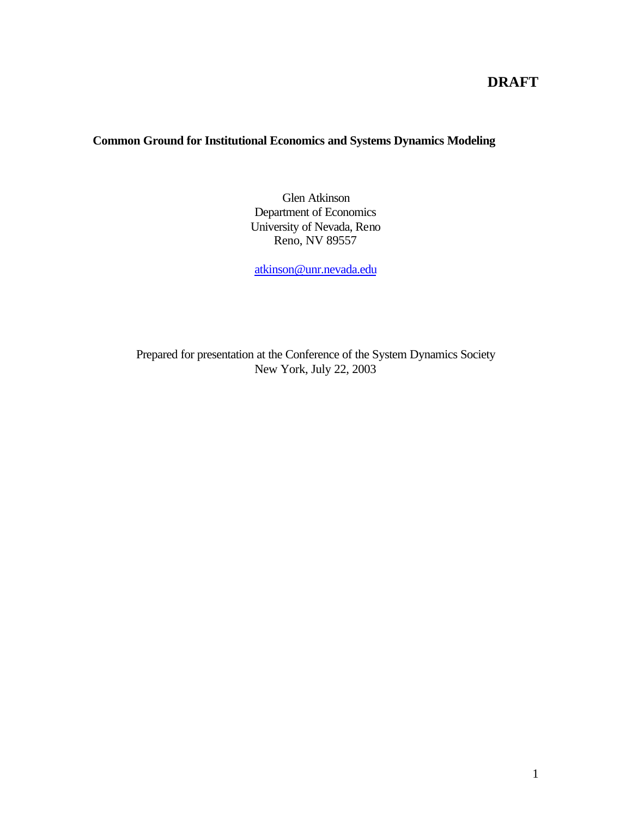# **DRAFT**

## **Common Ground for Institutional Economics and Systems Dynamics Modeling**

Glen Atkinson Department of Economics University of Nevada, Reno Reno, NV 89557

atkinson@unr.nevada.edu

Prepared for presentation at the Conference of the System Dynamics Society New York, July 22, 2003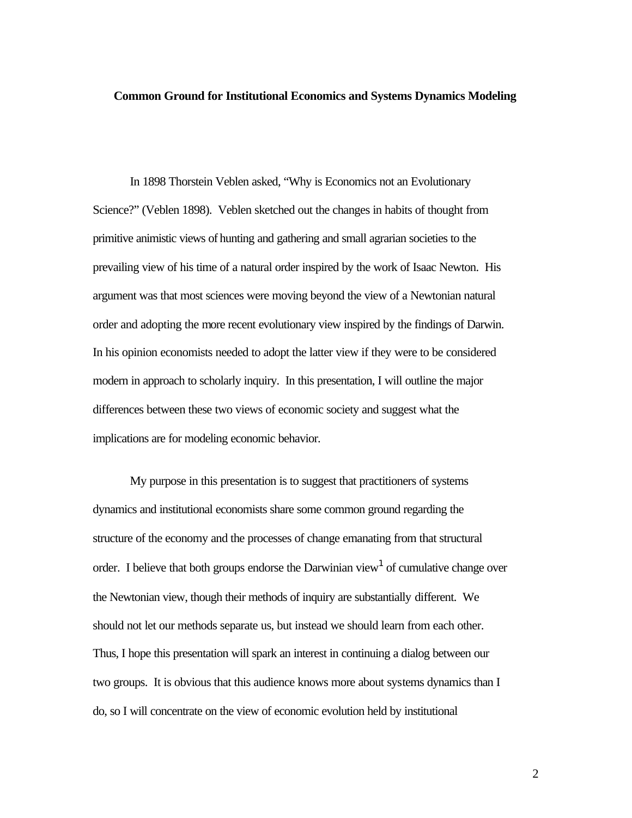#### **Common Ground for Institutional Economics and Systems Dynamics Modeling**

In 1898 Thorstein Veblen asked, "Why is Economics not an Evolutionary Science?" (Veblen 1898). Veblen sketched out the changes in habits of thought from primitive animistic views of hunting and gathering and small agrarian societies to the prevailing view of his time of a natural order inspired by the work of Isaac Newton. His argument was that most sciences were moving beyond the view of a Newtonian natural order and adopting the more recent evolutionary view inspired by the findings of Darwin. In his opinion economists needed to adopt the latter view if they were to be considered modern in approach to scholarly inquiry. In this presentation, I will outline the major differences between these two views of economic society and suggest what the implications are for modeling economic behavior.

My purpose in this presentation is to suggest that practitioners of systems dynamics and institutional economists share some common ground regarding the structure of the economy and the processes of change emanating from that structural order. I believe that both groups endorse the Darwinian view<sup>1</sup> of cumulative change over the Newtonian view, though their methods of inquiry are substantially different. We should not let our methods separate us, but instead we should learn from each other. Thus, I hope this presentation will spark an interest in continuing a dialog between our two groups. It is obvious that this audience knows more about systems dynamics than I do, so I will concentrate on the view of economic evolution held by institutional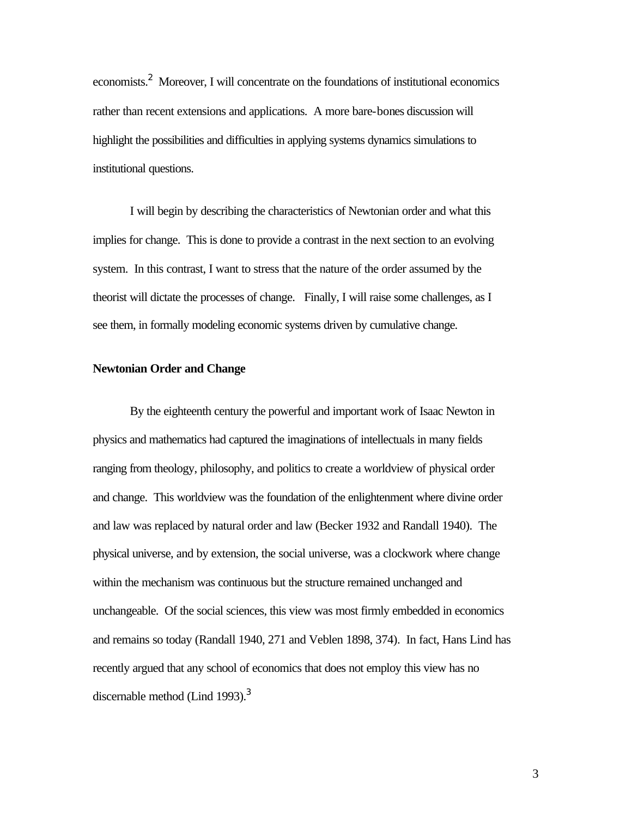economists.<sup>2</sup> Moreover, I will concentrate on the foundations of institutional economics rather than recent extensions and applications. A more bare-bones discussion will highlight the possibilities and difficulties in applying systems dynamics simulations to institutional questions.

I will begin by describing the characteristics of Newtonian order and what this implies for change. This is done to provide a contrast in the next section to an evolving system. In this contrast, I want to stress that the nature of the order assumed by the theorist will dictate the processes of change. Finally, I will raise some challenges, as I see them, in formally modeling economic systems driven by cumulative change.

### **Newtonian Order and Change**

By the eighteenth century the powerful and important work of Isaac Newton in physics and mathematics had captured the imaginations of intellectuals in many fields ranging from theology, philosophy, and politics to create a worldview of physical order and change. This worldview was the foundation of the enlightenment where divine order and law was replaced by natural order and law (Becker 1932 and Randall 1940). The physical universe, and by extension, the social universe, was a clockwork where change within the mechanism was continuous but the structure remained unchanged and unchangeable. Of the social sciences, this view was most firmly embedded in economics and remains so today (Randall 1940, 271 and Veblen 1898, 374). In fact, Hans Lind has recently argued that any school of economics that does not employ this view has no discernable method (Lind 1993). $3$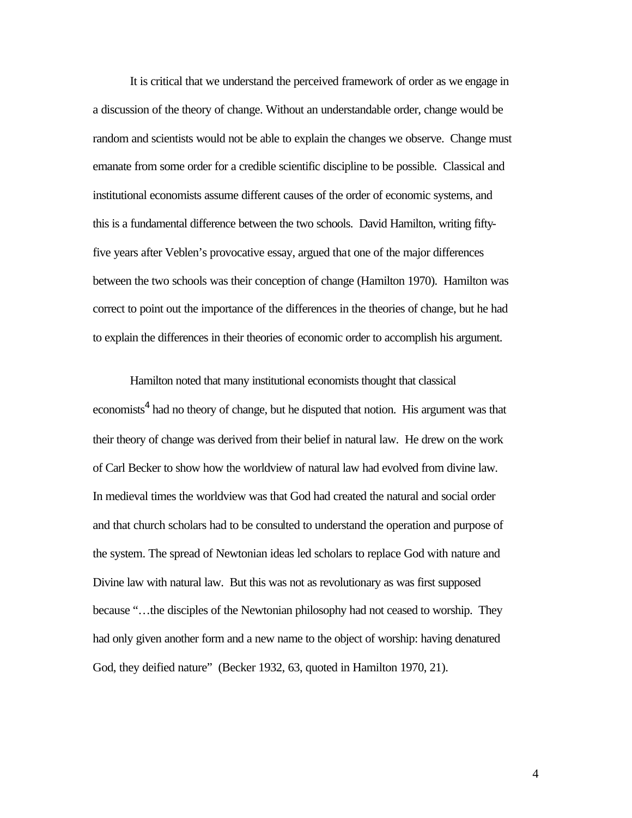It is critical that we understand the perceived framework of order as we engage in a discussion of the theory of change. Without an understandable order, change would be random and scientists would not be able to explain the changes we observe. Change must emanate from some order for a credible scientific discipline to be possible. Classical and institutional economists assume different causes of the order of economic systems, and this is a fundamental difference between the two schools. David Hamilton, writing fiftyfive years after Veblen's provocative essay, argued that one of the major differences between the two schools was their conception of change (Hamilton 1970). Hamilton was correct to point out the importance of the differences in the theories of change, but he had to explain the differences in their theories of economic order to accomplish his argument.

Hamilton noted that many institutional economists thought that classical economists<sup>4</sup> had no theory of change, but he disputed that notion. His argument was that their theory of change was derived from their belief in natural law. He drew on the work of Carl Becker to show how the worldview of natural law had evolved from divine law. In medieval times the worldview was that God had created the natural and social order and that church scholars had to be consulted to understand the operation and purpose of the system. The spread of Newtonian ideas led scholars to replace God with nature and Divine law with natural law. But this was not as revolutionary as was first supposed because "…the disciples of the Newtonian philosophy had not ceased to worship. They had only given another form and a new name to the object of worship: having denatured God, they deified nature" (Becker 1932, 63, quoted in Hamilton 1970, 21).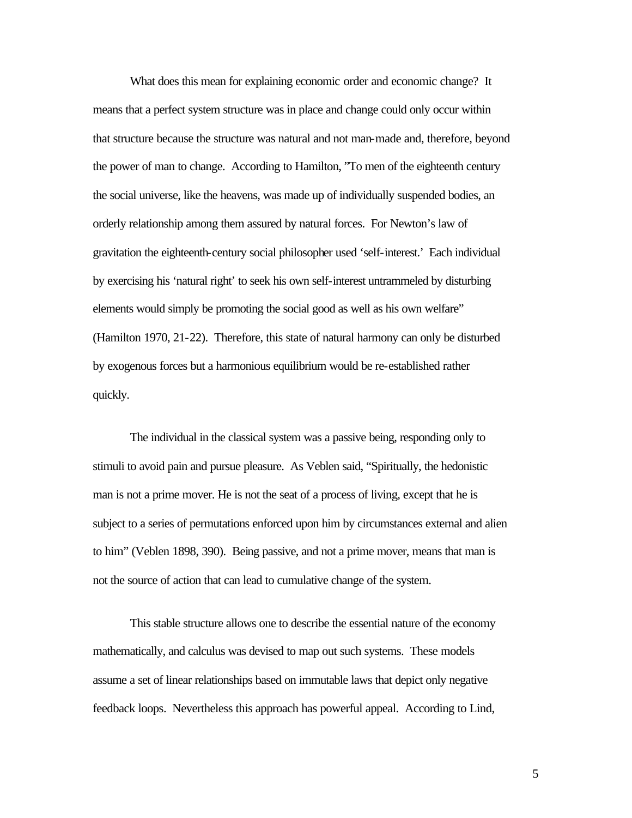What does this mean for explaining economic order and economic change? It means that a perfect system structure was in place and change could only occur within that structure because the structure was natural and not man-made and, therefore, beyond the power of man to change. According to Hamilton, "To men of the eighteenth century the social universe, like the heavens, was made up of individually suspended bodies, an orderly relationship among them assured by natural forces. For Newton's law of gravitation the eighteenth-century social philosopher used 'self-interest.' Each individual by exercising his 'natural right' to seek his own self-interest untrammeled by disturbing elements would simply be promoting the social good as well as his own welfare" (Hamilton 1970, 21-22). Therefore, this state of natural harmony can only be disturbed by exogenous forces but a harmonious equilibrium would be re-established rather quickly.

The individual in the classical system was a passive being, responding only to stimuli to avoid pain and pursue pleasure. As Veblen said, "Spiritually, the hedonistic man is not a prime mover. He is not the seat of a process of living, except that he is subject to a series of permutations enforced upon him by circumstances external and alien to him" (Veblen 1898, 390). Being passive, and not a prime mover, means that man is not the source of action that can lead to cumulative change of the system.

This stable structure allows one to describe the essential nature of the economy mathematically, and calculus was devised to map out such systems. These models assume a set of linear relationships based on immutable laws that depict only negative feedback loops. Nevertheless this approach has powerful appeal. According to Lind,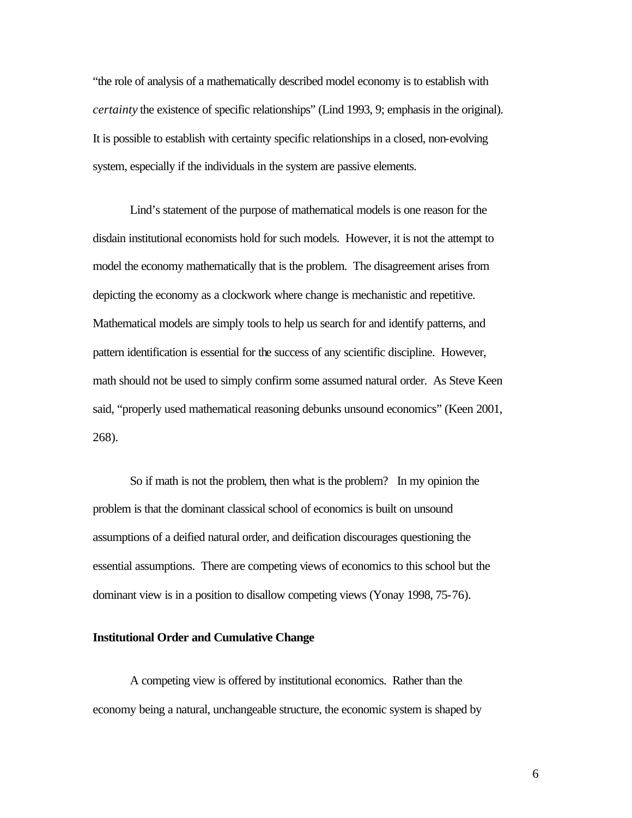"the role of analysis of a mathematically described model economy is to establish with *certainty* the existence of specific relationships" (Lind 1993, 9; emphasis in the original). It is possible to establish with certainty specific relationships in a closed, non-evolving system, especially if the individuals in the system are passive elements.

Lind's statement of the purpose of mathematical models is one reason for the disdain institutional economists hold for such models. However, it is not the attempt to model the economy mathematically that is the problem. The disagreement arises from depicting the economy as a clockwork where change is mechanistic and repetitive. Mathematical models are simply tools to help us search for and identify patterns, and pattern identification is essential for the success of any scientific discipline. However, math should not be used to simply confirm some assumed natural order. As Steve Keen said, "properly used mathematical reasoning debunks unsound economics" (Keen 2001, 268).

So if math is not the problem, then what is the problem? In my opinion the problem is that the dominant classical school of economics is built on unsound assumptions of a deified natural order, and deification discourages questioning the essential assumptions. There are competing views of economics to this school but the dominant view is in a position to disallow competing views (Yonay 1998, 75-76).

#### **Institutional Order and Cumulative Change**

A competing view is offered by institutional economics. Rather than the economy being a natural, unchangeable structure, the economic system is shaped by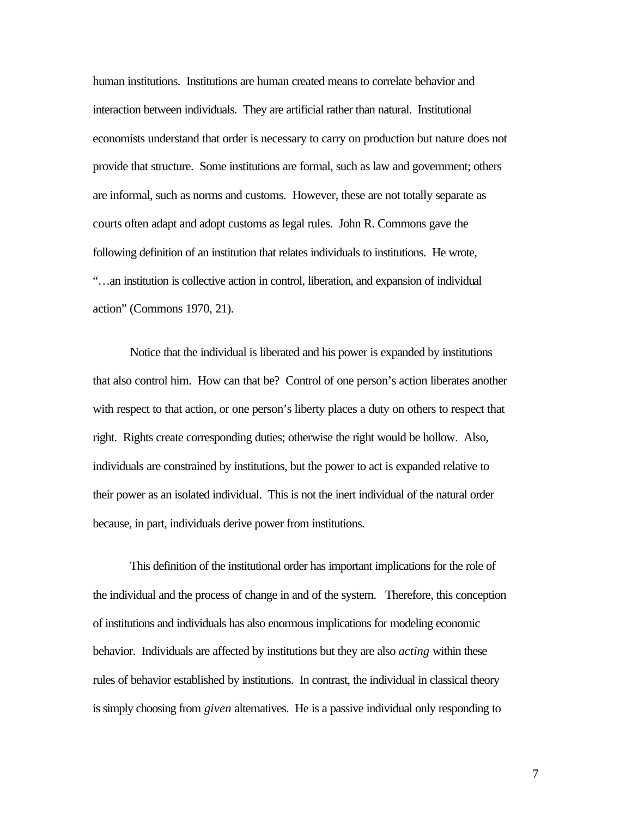human institutions. Institutions are human created means to correlate behavior and interaction between individuals. They are artificial rather than natural. Institutional economists understand that order is necessary to carry on production but nature does not provide that structure. Some institutions are formal, such as law and government; others are informal, such as norms and customs. However, these are not totally separate as courts often adapt and adopt customs as legal rules. John R. Commons gave the following definition of an institution that relates individuals to institutions. He wrote, "…an institution is collective action in control, liberation, and expansion of individual action" (Commons 1970, 21).

Notice that the individual is liberated and his power is expanded by institutions that also control him. How can that be? Control of one person's action liberates another with respect to that action, or one person's liberty places a duty on others to respect that right. Rights create corresponding duties; otherwise the right would be hollow. Also, individuals are constrained by institutions, but the power to act is expanded relative to their power as an isolated individual. This is not the inert individual of the natural order because, in part, individuals derive power from institutions.

This definition of the institutional order has important implications for the role of the individual and the process of change in and of the system. Therefore, this conception of institutions and individuals has also enormous implications for modeling economic behavior. Individuals are affected by institutions but they are also *acting* within these rules of behavior established by institutions. In contrast, the individual in classical theory is simply choosing from *given* alternatives. He is a passive individual only responding to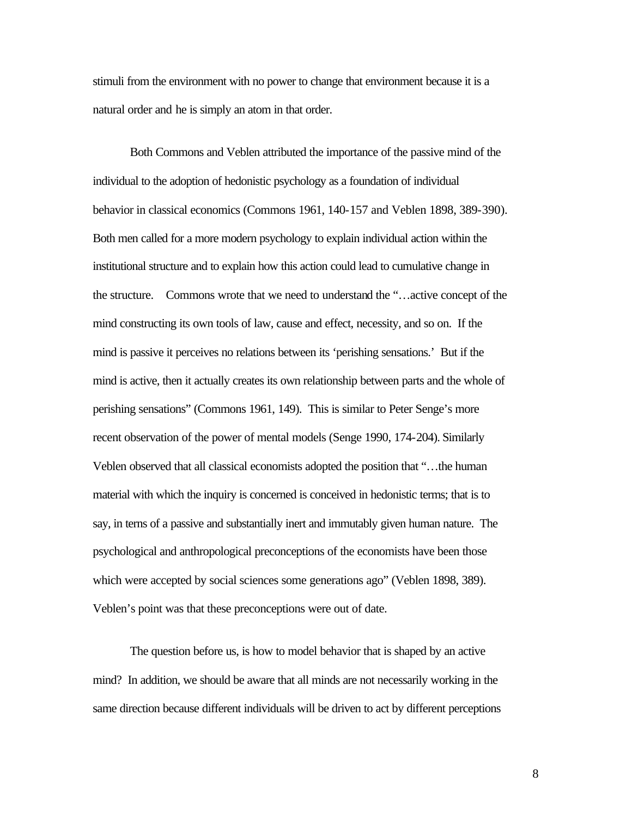stimuli from the environment with no power to change that environment because it is a natural order and he is simply an atom in that order.

Both Commons and Veblen attributed the importance of the passive mind of the individual to the adoption of hedonistic psychology as a foundation of individual behavior in classical economics (Commons 1961, 140-157 and Veblen 1898, 389-390). Both men called for a more modern psychology to explain individual action within the institutional structure and to explain how this action could lead to cumulative change in the structure. Commons wrote that we need to understand the "…active concept of the mind constructing its own tools of law, cause and effect, necessity, and so on. If the mind is passive it perceives no relations between its 'perishing sensations.' But if the mind is active, then it actually creates its own relationship between parts and the whole of perishing sensations" (Commons 1961, 149). This is similar to Peter Senge's more recent observation of the power of mental models (Senge 1990, 174-204). Similarly Veblen observed that all classical economists adopted the position that "…the human material with which the inquiry is concerned is conceived in hedonistic terms; that is to say, in terns of a passive and substantially inert and immutably given human nature. The psychological and anthropological preconceptions of the economists have been those which were accepted by social sciences some generations ago" (Veblen 1898, 389). Veblen's point was that these preconceptions were out of date.

The question before us, is how to model behavior that is shaped by an active mind? In addition, we should be aware that all minds are not necessarily working in the same direction because different individuals will be driven to act by different perceptions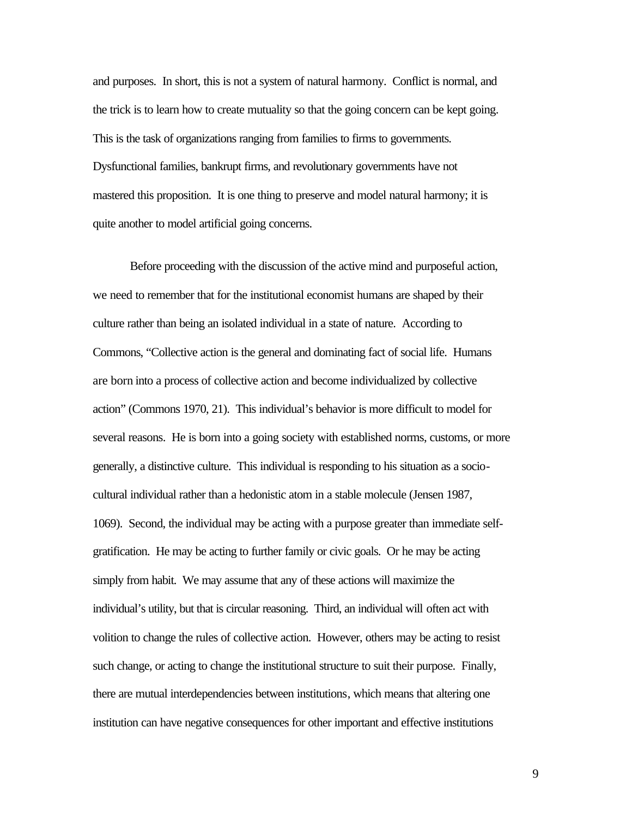and purposes. In short, this is not a system of natural harmony. Conflict is normal, and the trick is to learn how to create mutuality so that the going concern can be kept going. This is the task of organizations ranging from families to firms to governments. Dysfunctional families, bankrupt firms, and revolutionary governments have not mastered this proposition. It is one thing to preserve and model natural harmony; it is quite another to model artificial going concerns.

Before proceeding with the discussion of the active mind and purposeful action, we need to remember that for the institutional economist humans are shaped by their culture rather than being an isolated individual in a state of nature. According to Commons, "Collective action is the general and dominating fact of social life. Humans are born into a process of collective action and become individualized by collective action" (Commons 1970, 21). This individual's behavior is more difficult to model for several reasons. He is born into a going society with established norms, customs, or more generally, a distinctive culture. This individual is responding to his situation as a sociocultural individual rather than a hedonistic atom in a stable molecule (Jensen 1987, 1069). Second, the individual may be acting with a purpose greater than immediate selfgratification. He may be acting to further family or civic goals. Or he may be acting simply from habit. We may assume that any of these actions will maximize the individual's utility, but that is circular reasoning. Third, an individual will often act with volition to change the rules of collective action. However, others may be acting to resist such change, or acting to change the institutional structure to suit their purpose. Finally, there are mutual interdependencies between institutions, which means that altering one institution can have negative consequences for other important and effective institutions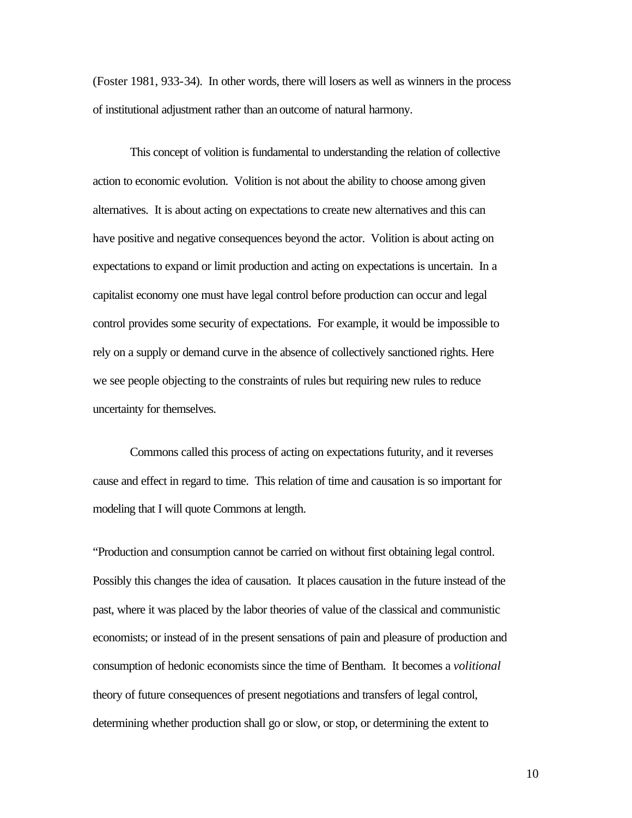(Foster 1981, 933-34). In other words, there will losers as well as winners in the process of institutional adjustment rather than an outcome of natural harmony.

This concept of volition is fundamental to understanding the relation of collective action to economic evolution. Volition is not about the ability to choose among given alternatives. It is about acting on expectations to create new alternatives and this can have positive and negative consequences beyond the actor. Volition is about acting on expectations to expand or limit production and acting on expectations is uncertain. In a capitalist economy one must have legal control before production can occur and legal control provides some security of expectations. For example, it would be impossible to rely on a supply or demand curve in the absence of collectively sanctioned rights. Here we see people objecting to the constraints of rules but requiring new rules to reduce uncertainty for themselves.

Commons called this process of acting on expectations futurity, and it reverses cause and effect in regard to time. This relation of time and causation is so important for modeling that I will quote Commons at length.

"Production and consumption cannot be carried on without first obtaining legal control. Possibly this changes the idea of causation. It places causation in the future instead of the past, where it was placed by the labor theories of value of the classical and communistic economists; or instead of in the present sensations of pain and pleasure of production and consumption of hedonic economists since the time of Bentham. It becomes a *volitional* theory of future consequences of present negotiations and transfers of legal control, determining whether production shall go or slow, or stop, or determining the extent to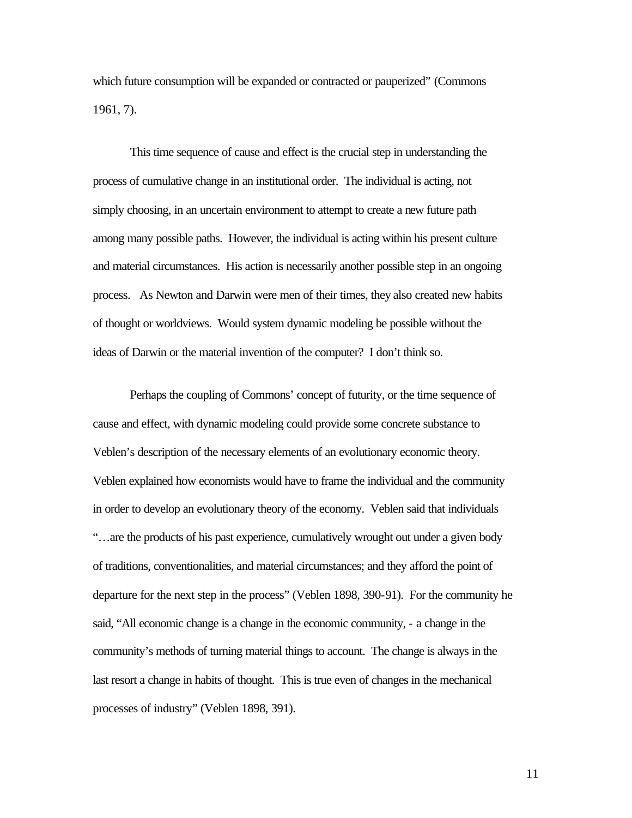which future consumption will be expanded or contracted or pauperized" (Commons 1961, 7).

This time sequence of cause and effect is the crucial step in understanding the process of cumulative change in an institutional order. The individual is acting, not simply choosing, in an uncertain environment to attempt to create a new future path among many possible paths. However, the individual is acting within his present culture and material circumstances. His action is necessarily another possible step in an ongoing process. As Newton and Darwin were men of their times, they also created new habits of thought or worldviews. Would system dynamic modeling be possible without the ideas of Darwin or the material invention of the computer? I don't think so.

Perhaps the coupling of Commons' concept of futurity, or the time sequence of cause and effect, with dynamic modeling could provide some concrete substance to Veblen's description of the necessary elements of an evolutionary economic theory. Veblen explained how economists would have to frame the individual and the community in order to develop an evolutionary theory of the economy. Veblen said that individuals "…are the products of his past experience, cumulatively wrought out under a given body of traditions, conventionalities, and material circumstances; and they afford the point of departure for the next step in the process" (Veblen 1898, 390-91). For the community he said, "All economic change is a change in the economic community, - a change in the community's methods of turning material things to account. The change is always in the last resort a change in habits of thought. This is true even of changes in the mechanical processes of industry" (Veblen 1898, 391).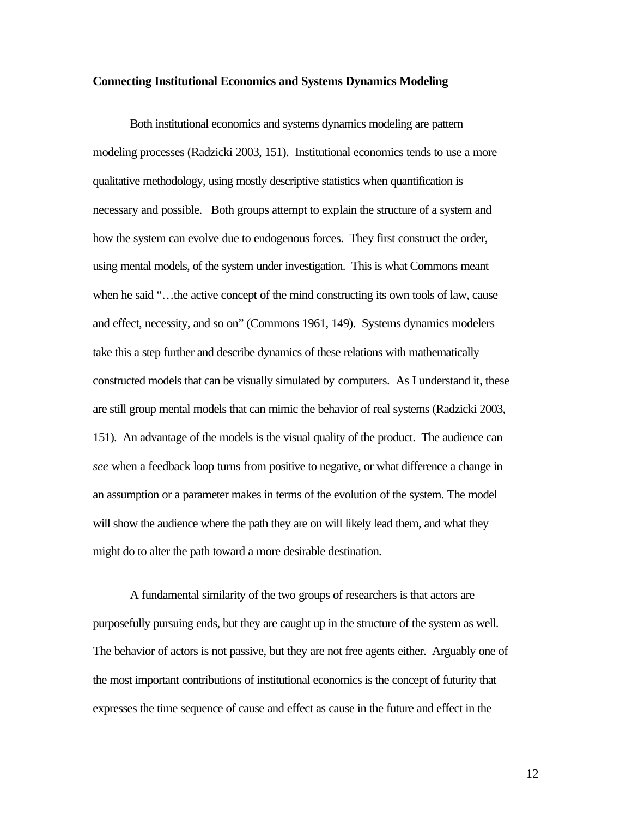#### **Connecting Institutional Economics and Systems Dynamics Modeling**

Both institutional economics and systems dynamics modeling are pattern modeling processes (Radzicki 2003, 151). Institutional economics tends to use a more qualitative methodology, using mostly descriptive statistics when quantification is necessary and possible. Both groups attempt to explain the structure of a system and how the system can evolve due to endogenous forces. They first construct the order, using mental models, of the system under investigation. This is what Commons meant when he said "...the active concept of the mind constructing its own tools of law, cause and effect, necessity, and so on" (Commons 1961, 149). Systems dynamics modelers take this a step further and describe dynamics of these relations with mathematically constructed models that can be visually simulated by computers. As I understand it, these are still group mental models that can mimic the behavior of real systems (Radzicki 2003, 151). An advantage of the models is the visual quality of the product. The audience can *see* when a feedback loop turns from positive to negative, or what difference a change in an assumption or a parameter makes in terms of the evolution of the system. The model will show the audience where the path they are on will likely lead them, and what they might do to alter the path toward a more desirable destination.

A fundamental similarity of the two groups of researchers is that actors are purposefully pursuing ends, but they are caught up in the structure of the system as well. The behavior of actors is not passive, but they are not free agents either. Arguably one of the most important contributions of institutional economics is the concept of futurity that expresses the time sequence of cause and effect as cause in the future and effect in the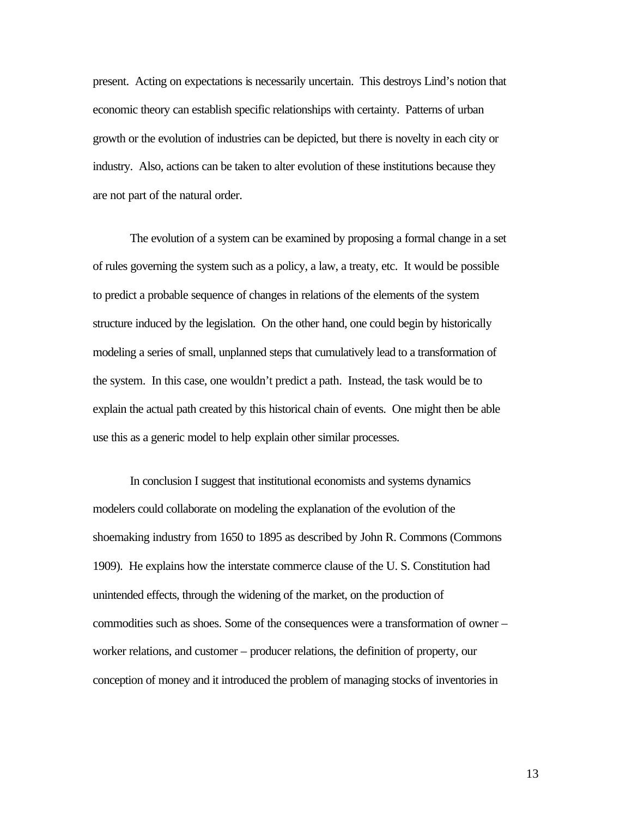present. Acting on expectations is necessarily uncertain. This destroys Lind's notion that economic theory can establish specific relationships with certainty. Patterns of urban growth or the evolution of industries can be depicted, but there is novelty in each city or industry. Also, actions can be taken to alter evolution of these institutions because they are not part of the natural order.

The evolution of a system can be examined by proposing a formal change in a set of rules governing the system such as a policy, a law, a treaty, etc. It would be possible to predict a probable sequence of changes in relations of the elements of the system structure induced by the legislation. On the other hand, one could begin by historically modeling a series of small, unplanned steps that cumulatively lead to a transformation of the system. In this case, one wouldn't predict a path. Instead, the task would be to explain the actual path created by this historical chain of events. One might then be able use this as a generic model to help explain other similar processes.

In conclusion I suggest that institutional economists and systems dynamics modelers could collaborate on modeling the explanation of the evolution of the shoemaking industry from 1650 to 1895 as described by John R. Commons (Commons 1909). He explains how the interstate commerce clause of the U. S. Constitution had unintended effects, through the widening of the market, on the production of commodities such as shoes. Some of the consequences were a transformation of owner – worker relations, and customer – producer relations, the definition of property, our conception of money and it introduced the problem of managing stocks of inventories in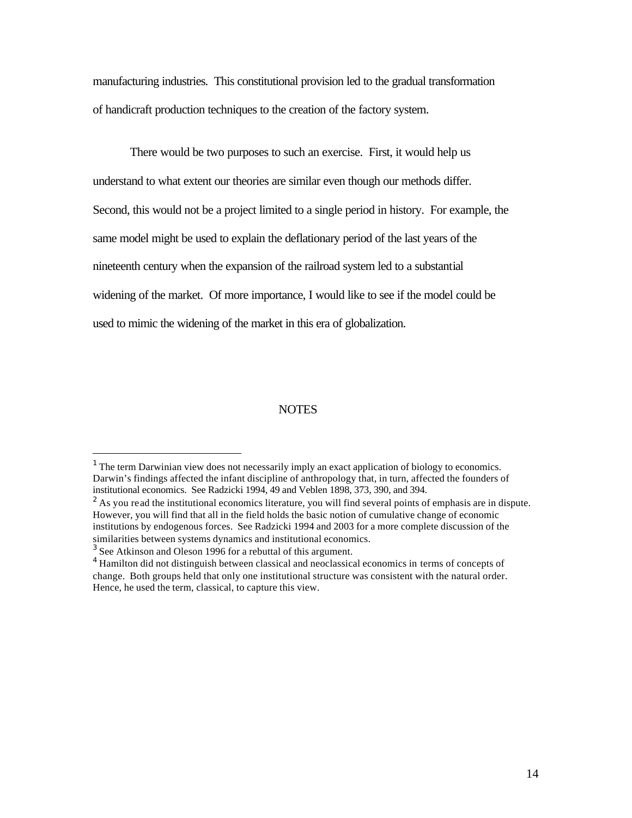manufacturing industries. This constitutional provision led to the gradual transformation of handicraft production techniques to the creation of the factory system.

There would be two purposes to such an exercise. First, it would help us understand to what extent our theories are similar even though our methods differ. Second, this would not be a project limited to a single period in history. For example, the same model might be used to explain the deflationary period of the last years of the nineteenth century when the expansion of the railroad system led to a substantial widening of the market. Of more importance, I would like to see if the model could be used to mimic the widening of the market in this era of globalization.

#### **NOTES**

 $\overline{a}$ 

 $<sup>1</sup>$  The term Darwinian view does not necessarily imply an exact application of biology to economics.</sup> Darwin's findings affected the infant discipline of anthropology that, in turn, affected the founders of institutional economics. See Radzicki 1994, 49 and Veblen 1898, 373, 390, and 394.

 $2$  As you read the institutional economics literature, you will find several points of emphasis are in dispute. However, you will find that all in the field holds the basic notion of cumulative change of economic institutions by endogenous forces. See Radzicki 1994 and 2003 for a more complete discussion of the similarities between systems dynamics and institutional economics.

 $3$  See Atkinson and Oleson 1996 for a rebuttal of this argument.

<sup>&</sup>lt;sup>4</sup> Hamilton did not distinguish between classical and neoclassical economics in terms of concepts of change. Both groups held that only one institutional structure was consistent with the natural order. Hence, he used the term, classical, to capture this view.